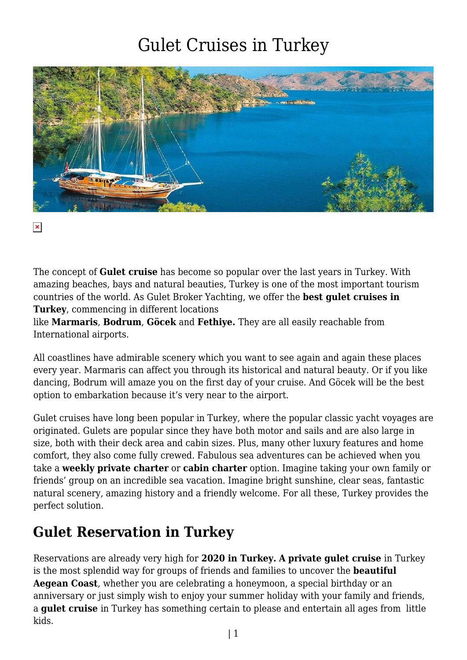## Gulet Cruises in Turkey



 $\pmb{\times}$ 

The concept of **Gulet cruise** has become so popular over the last years in Turkey. With amazing beaches, bays and natural beauties, Turkey is one of the most important tourism countries of the world. As Gulet Broker Yachting, we offer the **best gulet cruises in Turkey**, commencing in different locations

like **Marmaris**, **Bodrum**, **Göcek** and **Fethiye.** They are all easily reachable from International airports.

All coastlines have admirable scenery which you want to see again and again these places every year. Marmaris can affect you through its historical and natural beauty. Or if you like dancing, Bodrum will amaze you on the first day of your cruise. And Göcek will be the best option to embarkation because it's very near to the airport.

Gulet cruises have long been popular in Turkey, where the popular classic yacht voyages are originated. Gulets are popular since they have both motor and sails and are also large in size, both with their deck area and cabin sizes. Plus, many other luxury features and home comfort, they also come fully crewed. Fabulous sea adventures can be achieved when you take a **weekly private charter** or **cabin charter** option. Imagine taking your own family or friends' group on an incredible sea vacation. Imagine bright sunshine, clear seas, fantastic natural scenery, amazing history and a friendly welcome. For all these, Turkey provides the perfect solution.

## **Gulet Reservation in Turkey**

Reservations are already very high for **2020 in Turkey. A private gulet cruise** in Turkey is the most splendid way for groups of friends and families to uncover the **beautiful Aegean Coast**, whether you are celebrating a honeymoon, a special birthday or an anniversary or just simply wish to enjoy your summer holiday with your family and friends, a **gulet cruise** in Turkey has something certain to please and entertain all ages from little kids.